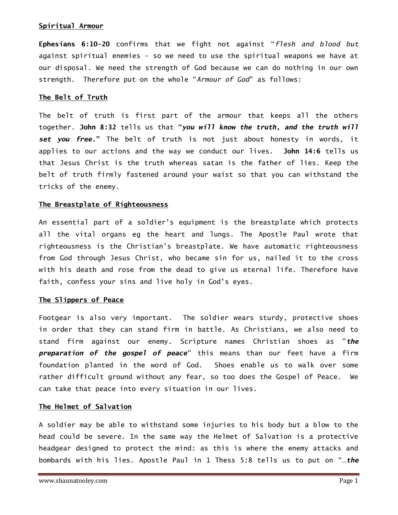# Spiritual Armour

Ephesians 6:10-20 confirms that we fight not against "flesh and blood but against spiritual enemies - so we need to use the spiritual weapons we have at our disposal. We need the strength of God because we can do nothing in our own strength. Therefore put on the whole "Armour of God" as follows:

### The Belt of Truth

The belt of truth is first part of the armour that keeps all the others together. John 8:32 tells us that "you will know the truth, and the truth will set you free." The belt of truth is not just about honesty in words, it applies to our actions and the way we conduct our lives. John 14:6 tells us that Jesus Christ is the truth whereas satan is the father of lies. Keep the belt of truth firmly fastened around your waist so that you can withstand the tricks of the enemy.

## The Breastplate of Righteousness

An essential part of a soldier's equipment is the breastplate which protects all the vital organs eg the heart and lungs. The Apostle Paul wrote that righteousness is the Christian's breastplate. We have automatic righteousness from God through Jesus Christ, who became sin for us, nailed it to the cross with his death and rose from the dead to give us eternal life. Therefore have faith, confess your sins and live holy in God's eyes.

#### The Slippers of Peace

Footgear is also very important. The soldier wears sturdy, protective shoes in order that they can stand firm in battle. As Christians, we also need to stand firm against our enemy. Scripture names Christian shoes as "the preparation of the gospel of peace" this means than our feet have a firm foundation planted in the word of God. Shoes enable us to walk over some rather difficult ground without any fear, so too does the Gospel of Peace. We can take that peace into every situation in our lives.

# The Helmet of Salvation

A soldier may be able to withstand some injuries to his body but a blow to the head could be severe. In the same way the Helmet of Salvation is a protective headgear designed to protect the mind: as this is where the enemy attacks and bombards with his lies. Apostle Paul in 1 Thess 5:8 tells us to put on "…the